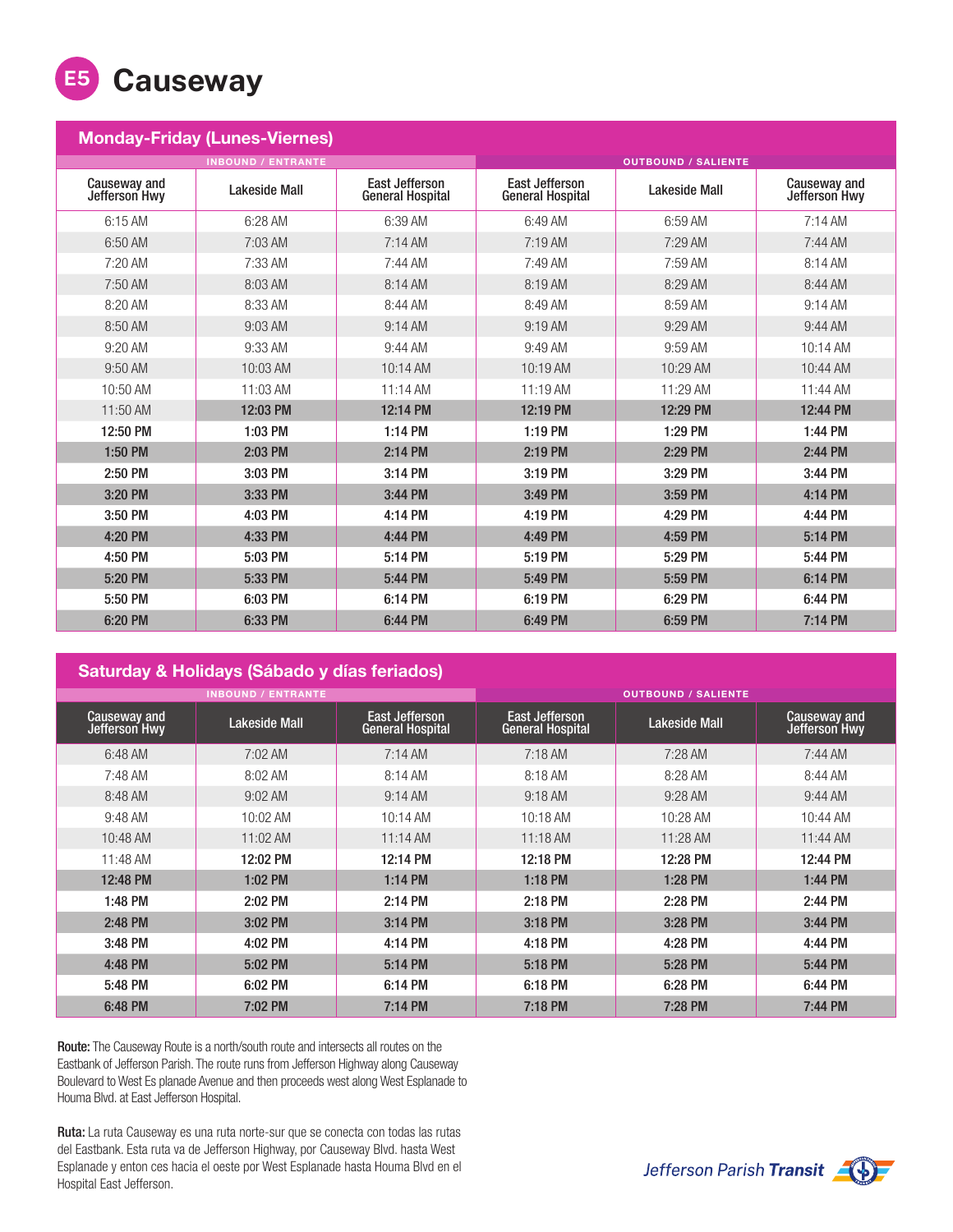

| <b>Monday-Friday (Lunes-Viernes)</b> |                      |                                                  |                                                  |               |                                       |  |  |  |  |
|--------------------------------------|----------------------|--------------------------------------------------|--------------------------------------------------|---------------|---------------------------------------|--|--|--|--|
| <b>INBOUND / ENTRANTE</b>            |                      |                                                  | <b>OUTBOUND / SALIENTE</b>                       |               |                                       |  |  |  |  |
| Causeway and<br>Jefferson Hwy        | <b>Lakeside Mall</b> | <b>East Jefferson</b><br><b>General Hospital</b> | <b>East Jefferson</b><br><b>General Hospital</b> | Lakeside Mall | <b>Causeway and<br/>Jefferson Hwy</b> |  |  |  |  |
| 6:15 AM                              | 6:28 AM              | 6:39 AM                                          | 6:49 AM                                          | 6:59 AM       | $7:14$ AM                             |  |  |  |  |
| 6:50 AM                              | 7:03 AM              | 7:14AM                                           | 7:19 AM                                          | 7:29 AM       | 7:44 AM                               |  |  |  |  |
| 7:20 AM                              | 7:33 AM              | $7:44$ AM                                        | 7:49 AM                                          | 7:59 AM       | 8:14 AM                               |  |  |  |  |
| 7:50 AM                              | 8:03 AM              | 8:14 AM                                          | 8:19 AM                                          | 8:29 AM       | 8:44 AM                               |  |  |  |  |
| 8:20 AM                              | 8:33 AM              | 8:44 AM                                          | 8:49 AM                                          | 8:59 AM       | $9:14$ AM                             |  |  |  |  |
| 8:50 AM                              | $9:03$ AM            | $9:14$ AM                                        | $9:19$ AM                                        | $9:29$ AM     | $9:44$ AM                             |  |  |  |  |
| $9:20$ AM                            | 9:33 AM              | $9:44$ AM                                        | $9:49$ AM                                        | $9:59$ AM     | $10:14$ AM                            |  |  |  |  |
| $9:50$ AM                            | 10:03 AM             | 10:14 AM                                         | 10:19 AM                                         | 10:29 AM      | 10:44 AM                              |  |  |  |  |
| 10:50 AM                             | 11:03 AM             | 11:14 AM                                         | 11:19 AM                                         | 11:29 AM      | 11:44 AM                              |  |  |  |  |
| 11:50 AM                             | 12:03 PM             | 12:14 PM                                         | 12:19 PM                                         | 12:29 PM      | 12:44 PM                              |  |  |  |  |
| 12:50 PM                             | 1:03 PM              | 1:14 PM                                          | 1:19 PM                                          | 1:29 PM       | 1:44 PM                               |  |  |  |  |
| 1:50 PM                              | 2:03 PM              | 2:14 PM                                          | 2:19 PM                                          | 2:29 PM       | 2:44 PM                               |  |  |  |  |
| 2:50 PM                              | 3:03 PM              | 3:14 PM                                          | 3:19 PM                                          | 3:29 PM       | 3:44 PM                               |  |  |  |  |
| 3:20 PM                              | 3:33 PM              | 3:44 PM                                          | 3:49 PM                                          | 3:59 PM       | 4:14 PM                               |  |  |  |  |
| 3:50 PM                              | 4:03 PM              | 4:14 PM                                          | 4:19 PM                                          | 4:29 PM       | 4:44 PM                               |  |  |  |  |
| 4:20 PM                              | 4:33 PM              | 4:44 PM                                          | 4:49 PM                                          | 4:59 PM       | 5:14 PM                               |  |  |  |  |
| 4:50 PM                              | 5:03 PM              | 5:14 PM                                          | 5:19 PM                                          | 5:29 PM       | 5:44 PM                               |  |  |  |  |
| 5:20 PM                              | 5:33 PM              | 5:44 PM                                          | 5:49 PM                                          | 5:59 PM       | 6:14 PM                               |  |  |  |  |
| 5:50 PM                              | 6:03 PM              | 6:14 PM                                          | 6:19 PM                                          | 6:29 PM       | 6:44 PM                               |  |  |  |  |
| 6:20 PM                              | 6:33 PM              | 6:44 PM                                          | 6:49 PM                                          | 6:59 PM       | 7:14 PM                               |  |  |  |  |

## Saturday & Holidays (Sábado y días feriados)

| <b>INBOUND / ENTRANTE</b>     |                      |                                                  | <b>OUTBOUND / SALIENTE</b>                       |                      |                               |
|-------------------------------|----------------------|--------------------------------------------------|--------------------------------------------------|----------------------|-------------------------------|
| Causeway and<br>Jefferson Hwy | <b>Lakeside Mall</b> | <b>East Jefferson</b><br><b>General Hospital</b> | <b>East Jefferson</b><br><b>General Hospital</b> | <b>Lakeside Mall</b> | Causeway and<br>Jefferson Hwy |
| 6:48 AM                       | 7:02 AM              | $7:14 \text{ AM}$                                | $7:18$ AM                                        | $7:28$ AM            | $7:44 \text{ AM}$             |
| 7:48 AM                       | 8:02 AM              | 8:14 AM                                          | 8:18 AM                                          | 8:28 AM              | 8:44 AM                       |
| 8:48 AM                       | $9:02$ AM            | $9:14 \text{ AM}$                                | $9:18$ AM                                        | $9:28$ AM            | $9:44$ AM                     |
| 9:48 AM                       | $10:02$ AM           | 10:14 AM                                         | $10:18$ AM                                       | 10:28 AM             | $10:44 \text{ AM}$            |
| 10:48 AM                      | 11:02 AM             | 11:14AM                                          | $11:18$ AM                                       | 11:28 AM             | 11:44 AM                      |
| 11:48 AM                      | 12:02 PM             | 12:14 PM                                         | 12:18 PM                                         | 12:28 PM             | 12:44 PM                      |
| 12:48 PM                      | 1:02 PM              | 1:14 PM                                          | $1:18$ PM                                        | 1:28 PM              | 1:44 PM                       |
| 1:48 PM                       | 2:02 PM              | 2:14 PM                                          | 2:18 PM                                          | 2:28 PM              | 2:44 PM                       |
| 2:48 PM                       | 3:02 PM              | 3:14 PM                                          | 3:18 PM                                          | 3:28 PM              | 3:44 PM                       |
| 3:48 PM                       | 4:02 PM              | 4:14 PM                                          | 4:18 PM                                          | 4:28 PM              | 4:44 PM                       |
| 4:48 PM                       | 5:02 PM              | 5:14 PM                                          | 5:18 PM                                          | 5:28 PM              | 5:44 PM                       |
| 5:48 PM                       | 6:02 PM              | 6:14 PM                                          | 6:18 PM                                          | 6:28 PM              | 6:44 PM                       |
| 6:48 PM                       | 7:02 PM              | 7:14 PM                                          | 7:18 PM                                          | 7:28 PM              | 7:44 PM                       |

Route: The Causeway Route is a north/south route and intersects all routes on the Eastbank of Jefferson Parish. The route runs from Jefferson Highway along Causeway Boulevard to West Es planade Avenue and then proceeds west along West Esplanade to Houma Blvd. at East Jefferson Hospital.

Ruta: La ruta Causeway es una ruta norte-sur que se conecta con todas las rutas del Eastbank. Esta ruta va de Jefferson Highway, por Causeway Blvd. hasta West Esplanade y enton ces hacia el oeste por West Esplanade hasta Houma Blvd en el Hospital East Jefferson.